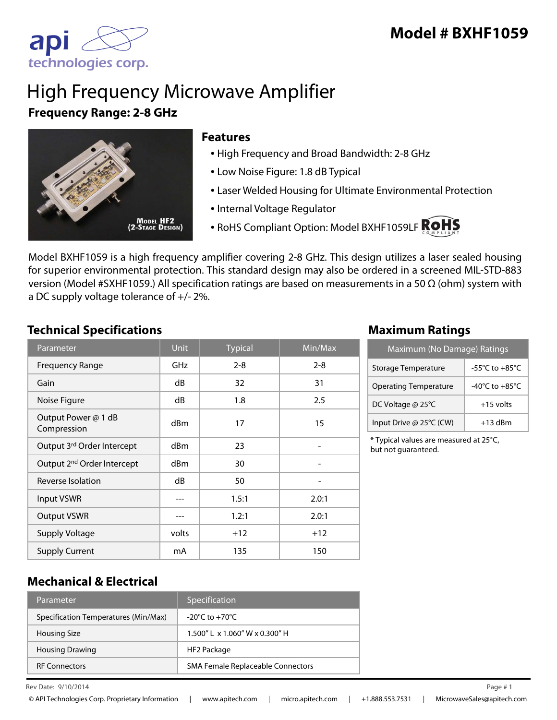

## High Frequency Microwave Amplifier **Frequency Range: 2-8 GHz**



### **Features**

- High Frequency and Broad Bandwidth: 2-8 GHz
- Low Noise Figure: 1.8 dB Typical
- Laser Welded Housing for Ultimate Environmental Protection
- Internal Voltage Regulator
- RoHS Compliant Option: Model BXHF1059LF ROHS

Model BXHF1059 is a high frequency amplifier covering 2-8 GHz. This design utilizes a laser sealed housing for superior environmental protection. This standard design may also be ordered in a screened MIL-STD-883 version (Model #SXHF1059.) All specification ratings are based on measurements in a 50 Ω (ohm) system with a DC supply voltage tolerance of +/- 2%.

## **Technical Specifications Maximum Ratings**

| Parameter                              | <b>Unit</b> | <b>Typical</b> | $\overline{\textsf{Min}/\textsf{Max}}$ |
|----------------------------------------|-------------|----------------|----------------------------------------|
| <b>Frequency Range</b>                 | <b>GHz</b>  | $2 - 8$        | $2 - 8$                                |
| Gain                                   | dB          | 32             | 31                                     |
| Noise Figure                           | dB          | 1.8            | 2.5                                    |
| Output Power @ 1 dB<br>Compression     | dBm         | 17             | 15                                     |
| Output 3rd Order Intercept             | dBm         | 23             |                                        |
| Output 2 <sup>nd</sup> Order Intercept | dBm         | 30             |                                        |
| Reverse Isolation                      | dB          | 50             |                                        |
| <b>Input VSWR</b>                      |             | 1.5:1          | 2.0:1                                  |
| <b>Output VSWR</b>                     |             | 1.2:1          | 2.0:1                                  |
| <b>Supply Voltage</b>                  | volts       | $+12$          | $+12$                                  |
| <b>Supply Current</b>                  | mA          | 135            | 150                                    |

| Maximum (No Damage) Ratings  |                                      |  |
|------------------------------|--------------------------------------|--|
| Storage Temperature          | -55 $^{\circ}$ C to +85 $^{\circ}$ C |  |
| <b>Operating Temperature</b> | -40 $^{\circ}$ C to +85 $^{\circ}$ C |  |
| DC Voltage @ 25°C            | $+15$ volts                          |  |
| Input Drive @ 25°C (CW)      | $+13$ dBm                            |  |

\* Typical values are measured at 25°C, but not guaranteed.

## **Mechanical & Electrical**

| Parameter                            | Specification                                   |
|--------------------------------------|-------------------------------------------------|
| Specification Temperatures (Min/Max) | $-20^{\circ}$ C to $+70^{\circ}$ C              |
| <b>Housing Size</b>                  | $1.500''$ L $\times$ 1.060" W $\times$ 0.300" H |
| <b>Housing Drawing</b>               | HF2 Package                                     |
| <b>RF Connectors</b>                 | SMA Female Replaceable Connectors               |

Rev Date:  $9/10/2014$  Page #1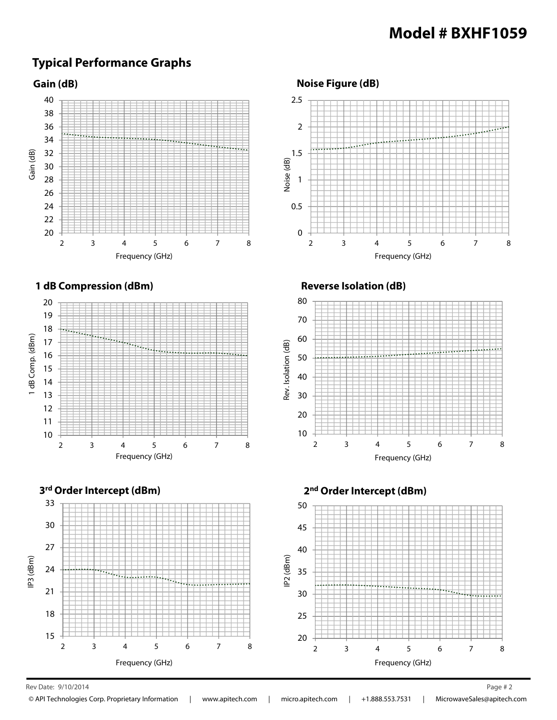## **Typical Performance Graphs**

**Gain (dB)**